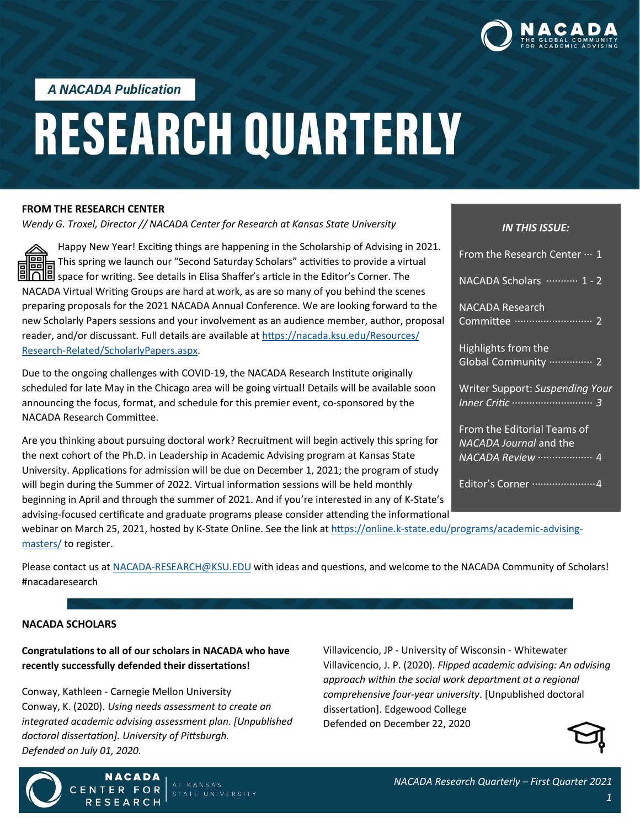

**A NACADA Publication** 

# **RESEARCH QUARTERLY**

#### **FROM THE RESEARCH CENTER**

*Wendy G. Troxel, Director // NACADA Center for Research at Kansas State University*

Happy New Year! Exciting things are happening in the Scholarship of Advising in 2021. </del> This spring we launch our "Second Saturday Scholars" activities to provide a virtual loo space for writing. See details in Elisa Shaffer's article in the Editor's Corner. The NACADA Virtual Writing Groups are hard at work, as are so many of you behind the scenes preparing proposals for the 2021 NACADA Annual Conference. We are looking forward to the new Scholarly Papers sessions and your involvement as an audience member, author, proposal reader, and/or discussant. Full details are available at [https://nacada.ksu.edu/Resources/](https://nacada.ksu.edu/Resources/Research-Related/ScholarlyPapers.aspx) Research-[Related/ScholarlyPapers.aspx.](https://nacada.ksu.edu/Resources/Research-Related/ScholarlyPapers.aspx)

Due to the ongoing challenges with COVID-19, the NACADA Research Institute originally scheduled for late May in the Chicago area will be going virtual! Details will be available soon announcing the focus, format, and schedule for this premier event, co-sponsored by the NACADA Research Committee.

Are you thinking about pursuing doctoral work? Recruitment will begin actively this spring for the next cohort of the Ph.D. in Leadership in Academic Advising program at Kansas State University. Applications for admission will be due on December 1, 2021; the program of study will begin during the Summer of 2022. Virtual information sessions will be held monthly beginning in April and through the summer of 2021. And if you're interested in any of K-State's advising-focused certificate and graduate programs please consider attending the informational

#### *IN THIS ISSUE:*

| From the Research Center  1                                  |  |
|--------------------------------------------------------------|--|
| NACADA Scholars ………… 1 - 2                                   |  |
| NACADA Research<br>Committee ……………………… 2                     |  |
| Highlights from the<br>Global Community  2                   |  |
| Writer Support: Suspending Your                              |  |
| From the Editorial Teams of<br><b>NACADA Journal and the</b> |  |
|                                                              |  |
| Editor's Corner  4                                           |  |

webinar on March 25, 2021, hosted by K-State Online. See the link at https://online.k-[state.edu/programs/academic](https://online.k-state.edu/programs/academic-advising-masters/)-advising[masters/](https://online.k-state.edu/programs/academic-advising-masters/) to register.

Please contact us at NACADA-[RESEARCH@KSU.EDU](mailto:NACADA-RESEARCH@KSU.EDU?subject=NACADA%20Research%20Quarterly%20Question) with ideas and questions, and welcome to the NACADA Community of Scholars! #nacadaresearch

#### **NACADA SCHOLARS**

# **Congratulations to all of our scholars in NACADA who have recently successfully defended their dissertations!**

Conway, Kathleen - Carnegie Mellon University Conway, K. (2020). *Using needs assessment to create an integrated academic advising assessment plan. [Unpublished doctoral dissertation]. University of Pittsburgh. Defended on July 01, 2020.*

**NACADA** 

**FOR** 

Villavicencio, JP - University of Wisconsin - Whitewater Villavicencio, J. P. (2020). *Flipped academic advising: An advising approach within the social work department at a regional comprehensive four-year university*. [Unpublished doctoral dissertation]. Edgewood College Defended on December 22, 2020



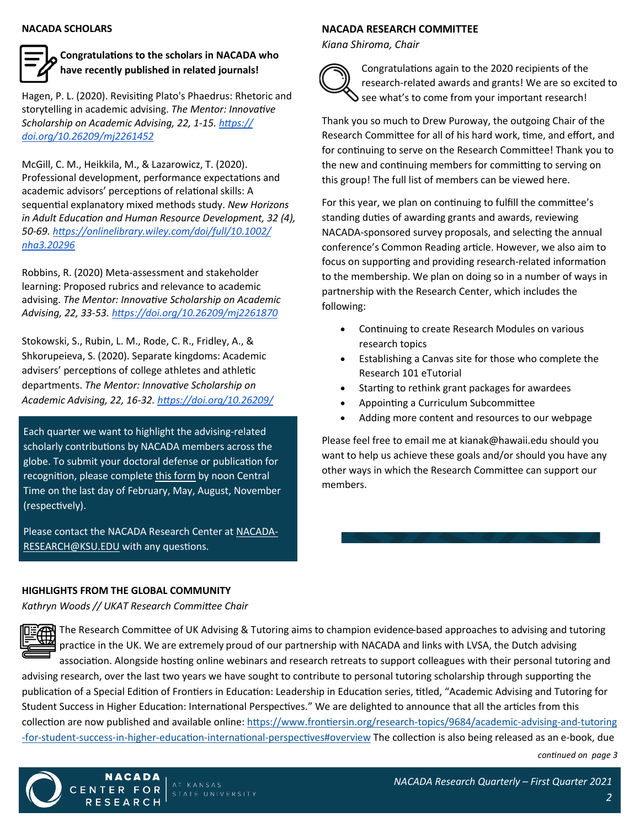#### **NACADA SCHOLARS**

# **Congratulations to the scholars in NACADA who have recently published in related journals!**

Hagen, P. L. (2020). Revisiting Plato's Phaedrus: Rhetoric and storytelling in academic advising. *The Mentor: Innovative Scholarship on Academic Advising, 22, 1-15. [https://](https://doi.org/10.26209/mj2261452) [doi.org/10.26209/mj2261452](https://doi.org/10.26209/mj2261452)*

McGill, C. M., Heikkila, M., & Lazarowicz, T. (2020). Professional development, performance expectations and academic advisors' perceptions of relational skills: A sequential explanatory mixed methods study. *New Horizons in Adult Education and Human Resource Development, 32 (4), 50-69. [https://onlinelibrary.wiley.com/doi/full/10.1002/](https://onlinelibrary.wiley.com/doi/full/10.1002/nha3.20296) [nha3.20296](https://onlinelibrary.wiley.com/doi/full/10.1002/nha3.20296)*

Robbins, R. (2020) Meta-assessment and stakeholder learning: Proposed rubrics and relevance to academic advising. *The Mentor: Innovative Scholarship on Academic Advising, 22, 33-53.<https://doi.org/10.26209/mj2261870>*

Stokowski, S., Rubin, L. M., Rode, C. R., Fridley, A., & Shkorupeieva, S. (2020). Separate kingdoms: Academic advisers' perceptions of college athletes and athletic departments. *The Mentor: Innovative Scholarship on Academic Advising, 22, 16-32. [https://doi.org/10.26209/](https://doi.org/10.26209/mj2261353)*

Each quarter we want to highlight the advising-related scholarly contributions by NACADA members across the globe. To submit your doctoral defense or publication for recognition, please complete [this form](https://bit.ly/NACADAScholars) by noon Central Time on the last day of February, May, August, November (respectively).

Please contact the NACADA Research Center at [NACADA](mailto:NACADA-RESEARCH@KSU.EDU?subject=NACADA%20Scholars)-[RESEARCH@KSU.EDU](mailto:NACADA-RESEARCH@KSU.EDU?subject=NACADA%20Scholars) with any questions.

#### **NACADA RESEARCH COMMITTEE**

*Kiana Shiroma, Chair*



Congratulations again to the 2020 recipients of the research-related awards and grants! We are so excited to See what's to come from your important research!

Thank you so much to Drew Puroway, the outgoing Chair of the Research Committee for all of his hard work, time, and effort, and for continuing to serve on the Research Committee! Thank you to the new and continuing members for committing to serving on this group! The full list of members can be viewed here.

For this year, we plan on continuing to fulfill the committee's standing duties of awarding grants and awards, reviewing NACADA-sponsored survey proposals, and selecting the annual conference's Common Reading article. However, we also aim to focus on supporting and providing research-related information to the membership. We plan on doing so in a number of ways in partnership with the Research Center, which includes the following:

- Continuing to create Research Modules on various research topics
- Establishing a Canvas site for those who complete the Research 101 eTutorial
- Starting to rethink grant packages for awardees
- Appointing a Curriculum Subcommittee
- Adding more content and resources to our webpage

Please feel free to email me at kianak@hawaii.edu should you want to help us achieve these goals and/or should you have any other ways in which the Research Committee can support our members.

## **HIGHLIGHTS FROM THE GLOBAL COMMUNITY**

*Kathryn Woods // UKAT Research Committee Chair*

**NACADA** 

CENTER FOR

**RESEARCH** 



The Research Committee of UK Advising & Tutoring aims to champion evidence-based approaches to advising and tutoring practice in the UK. We are extremely proud of our partnership with NACADA and links with LVSA, the Dutch advising

association. Alongside hosting online webinars and research retreats to support colleagues with their personal tutoring and advising research, over the last two years we have sought to contribute to personal tutoring scholarship through supporting the publication of a Special Edition of Frontiers in Education: Leadership in Education series, titled, "Academic Advising and Tutoring for Student Success in Higher Education: International Perspectives." We are delighted to announce that all the articles from this collection are now published and available online: [https://www.frontiersin.org/research](https://www.frontiersin.org/research-topics/9684/academic-advising-and-tutoring-for-student-success-in-higher-education-international-perspectives#overview)-topics/9684/academic-advising-and-tutoring -for-student-success-in-higher-education-international-[perspectives#overview](https://www.frontiersin.org/research-topics/9684/academic-advising-and-tutoring-for-student-success-in-higher-education-international-perspectives#overview) The collection is also being released as an e-book, due

*continued on page 3*

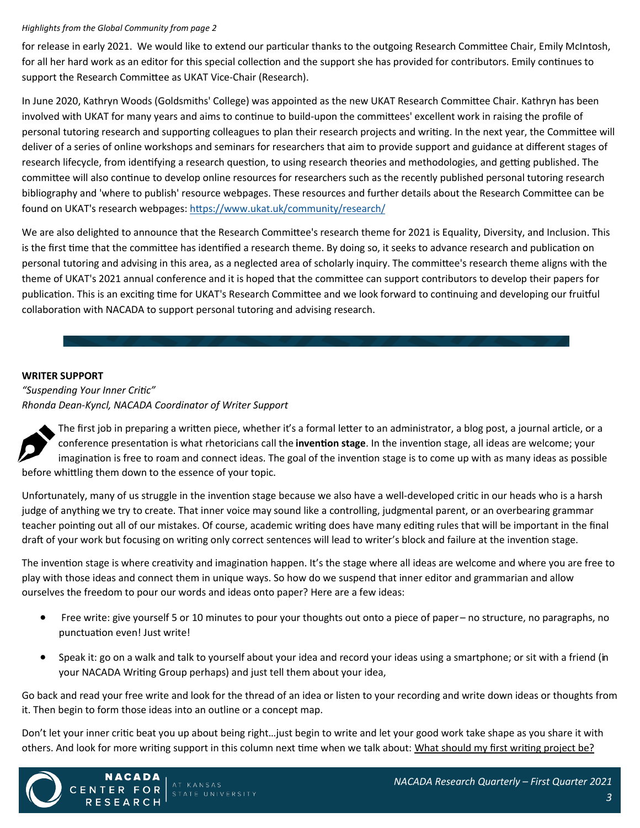#### *Highlights from the Global Community from page 2*

for release in early 2021. We would like to extend our particular thanks to the outgoing Research Committee Chair, Emily McIntosh, for all her hard work as an editor for this special collection and the support she has provided for contributors. Emily continues to support the Research Committee as UKAT Vice-Chair (Research).

In June 2020, Kathryn Woods (Goldsmiths' College) was appointed as the new UKAT Research Committee Chair. Kathryn has been involved with UKAT for many years and aims to continue to build-upon the committees' excellent work in raising the profile of personal tutoring research and supporting colleagues to plan their research projects and writing. In the next year, the Committee will deliver of a series of online workshops and seminars for researchers that aim to provide support and guidance at different stages of research lifecycle, from identifying a research question, to using research theories and methodologies, and getting published. The committee will also continue to develop online resources for researchers such as the recently published personal tutoring research bibliography and 'where to publish' resource webpages. These resources and further details about the Research Committee can be found on UKAT's research webpages: <https://www.ukat.uk/community/research/>

We are also delighted to announce that the Research Committee's research theme for 2021 is Equality, Diversity, and Inclusion. This is the first time that the committee has identified a research theme. By doing so, it seeks to advance research and publication on personal tutoring and advising in this area, as a neglected area of scholarly inquiry. The committee's research theme aligns with the theme of UKAT's 2021 annual conference and it is hoped that the committee can support contributors to develop their papers for publication. This is an exciting time for UKAT's Research Committee and we look forward to continuing and developing our fruitful collaboration with NACADA to support personal tutoring and advising research.

## **WRITER SUPPORT**

*"Suspending Your Inner Critic" Rhonda Dean-Kyncl, NACADA Coordinator of Writer Support*

The first job in preparing a written piece, whether it's a formal letter to an administrator, a blog post, a journal article, or a conference presentation is what rhetoricians call the **invention stage**. In the invention stage, all ideas are welcome; your imagination is free to roam and connect ideas. The goal of the invention stage is to come up with as many ideas as possible before whittling them down to the essence of your topic.

Unfortunately, many of us struggle in the invention stage because we also have a well-developed critic in our heads who is a harsh judge of anything we try to create. That inner voice may sound like a controlling, judgmental parent, or an overbearing grammar teacher pointing out all of our mistakes. Of course, academic writing does have many editing rules that will be important in the final draft of your work but focusing on writing only correct sentences will lead to writer's block and failure at the invention stage.

The invention stage is where creativity and imagination happen. It's the stage where all ideas are welcome and where you are free to play with those ideas and connect them in unique ways. So how do we suspend that inner editor and grammarian and allow ourselves the freedom to pour our words and ideas onto paper? Here are a few ideas:

- Free write: give yourself 5 or 10 minutes to pour your thoughts out onto a piece of paper no structure, no paragraphs, no punctuation even! Just write!
- Speak it: go on a walk and talk to yourself about your idea and record your ideas using a smartphone; or sit with a friend (in your NACADA Writing Group perhaps) and just tell them about your idea,

Go back and read your free write and look for the thread of an idea or listen to your recording and write down ideas or thoughts from it. Then begin to form those ideas into an outline or a concept map.

Don't let your inner critic beat you up about being right…just begin to write and let your good work take shape as you share it with others. And look for more writing support in this column next time when we talk about: What should my first writing project be?



NACADA

**CENTER FOR** 

RESEARCH